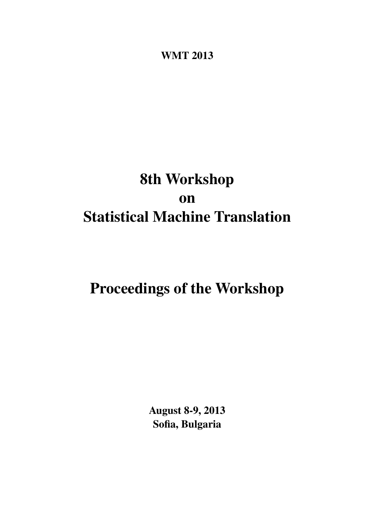<span id="page-0-0"></span>WMT 2013

# 8th Workshop on Statistical Machine Translation

# Proceedings of the Workshop

August 8-9, 2013 Sofia, Bulgaria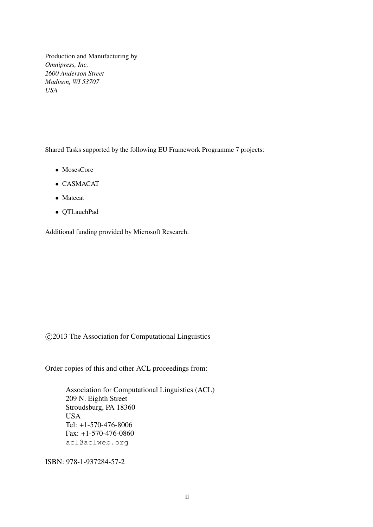Production and Manufacturing by *Omnipress, Inc. 2600 Anderson Street Madison, WI 53707 USA*

Shared Tasks supported by the following EU Framework Programme 7 projects:

- MosesCore
- CASMACAT
- Matecat
- QTLauchPad

Additional funding provided by Microsoft Research.

c 2013 The Association for Computational Linguistics

Order copies of this and other ACL proceedings from:

Association for Computational Linguistics (ACL) 209 N. Eighth Street Stroudsburg, PA 18360 USA Tel: +1-570-476-8006 Fax: +1-570-476-0860 acl@aclweb.org

ISBN: 978-1-937284-57-2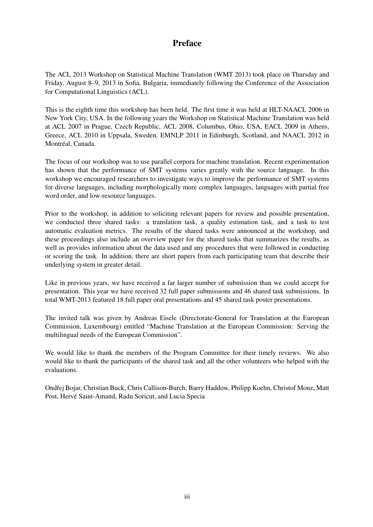### Preface

The ACL 2013 Workshop on Statistical Machine Translation (WMT 2013) took place on Thursday and Friday, August 8–9, 2013 in Sofia, Bulgaria, immediately following the Conference of the Association for Computational Linguistics (ACL).

This is the eighth time this workshop has been held. The first time it was held at HLT-NAACL 2006 in New York City, USA. In the following years the Workshop on Statistical Machine Translation was held at ACL 2007 in Prague, Czech Republic, ACL 2008, Columbus, Ohio, USA, EACL 2009 in Athens, Greece, ACL 2010 in Uppsala, Sweden, EMNLP 2011 in Edinburgh, Scotland, and NAACL 2012 in Montréal, Canada.

The focus of our workshop was to use parallel corpora for machine translation. Recent experimentation has shown that the performance of SMT systems varies greatly with the source language. In this workshop we encouraged researchers to investigate ways to improve the performance of SMT systems for diverse languages, including morphologically more complex languages, languages with partial free word order, and low-resource languages.

Prior to the workshop, in addition to soliciting relevant papers for review and possible presentation, we conducted three shared tasks: a translation task, a quality estimation task, and a task to test automatic evaluation metrics. The results of the shared tasks were announced at the workshop, and these proceedings also include an overview paper for the shared tasks that summarizes the results, as well as provides information about the data used and any procedures that were followed in conducting or scoring the task. In addition, there are short papers from each participating team that describe their underlying system in greater detail.

Like in previous years, we have received a far larger number of submission than we could accept for presentation. This year we have received 32 full paper submissions and 46 shared task submissions. In total WMT-2013 featured 18 full paper oral presentations and 45 shared task poster presentations.

The invited talk was given by Andreas Eisele (Directorate-General for Translation at the European Commission, Luxembourg) entitled "Machine Translation at the European Commission: Serving the multilingual needs of the European Commission".

We would like to thank the members of the Program Committee for their timely reviews. We also would like to thank the participants of the shared task and all the other volunteers who helped with the evaluations.

Ondřej Bojar, Christian Buck, Chris Callison-Burch, Barry Haddow, Philipp Koehn, Christof Monz, Matt Post, Hervé Saint-Amand, Radu Soricut, and Lucia Specia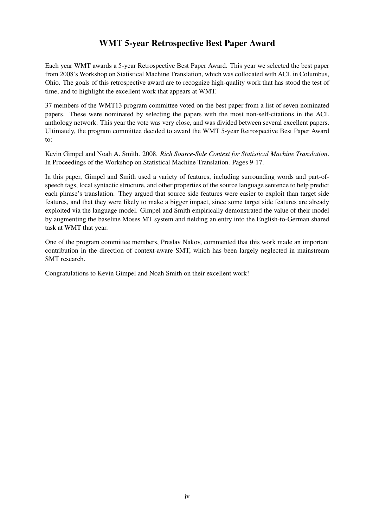## WMT 5-year Retrospective Best Paper Award

Each year WMT awards a 5-year Retrospective Best Paper Award. This year we selected the best paper from 2008's Workshop on Statistical Machine Translation, which was collocated with ACL in Columbus, Ohio. The goals of this retrospective award are to recognize high-quality work that has stood the test of time, and to highlight the excellent work that appears at WMT.

37 members of the WMT13 program committee voted on the best paper from a list of seven nominated papers. These were nominated by selecting the papers with the most non-self-citations in the ACL anthology network. This year the vote was very close, and was divided between several excellent papers. Ultimately, the program committee decided to award the WMT 5-year Retrospective Best Paper Award to:

Kevin Gimpel and Noah A. Smith. 2008. *Rich Source-Side Context for Statistical Machine Translation*. In Proceedings of the Workshop on Statistical Machine Translation. Pages 9-17.

In this paper, Gimpel and Smith used a variety of features, including surrounding words and part-ofspeech tags, local syntactic structure, and other properties of the source language sentence to help predict each phrase's translation. They argued that source side features were easier to exploit than target side features, and that they were likely to make a bigger impact, since some target side features are already exploited via the language model. Gimpel and Smith empirically demonstrated the value of their model by augmenting the baseline Moses MT system and fielding an entry into the English-to-German shared task at WMT that year.

One of the program committee members, Preslav Nakov, commented that this work made an important contribution in the direction of context-aware SMT, which has been largely neglected in mainstream SMT research.

Congratulations to Kevin Gimpel and Noah Smith on their excellent work!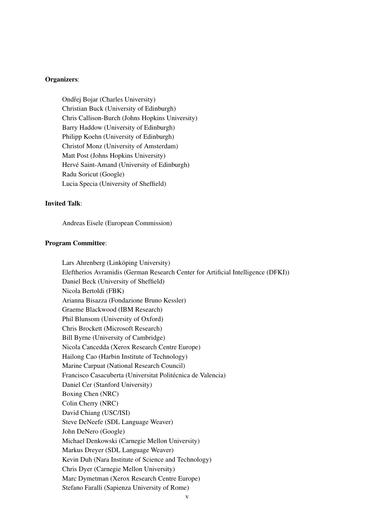#### Organizers:

Ondřej Bojar (Charles University) Christian Buck (University of Edinburgh) Chris Callison-Burch (Johns Hopkins University) Barry Haddow (University of Edinburgh) Philipp Koehn (University of Edinburgh) Christof Monz (University of Amsterdam) Matt Post (Johns Hopkins University) Hervé Saint-Amand (University of Edinburgh) Radu Soricut (Google) Lucia Specia (University of Sheffield)

#### Invited Talk:

Andreas Eisele (European Commission)

#### Program Committee:

Lars Ahrenberg (Linköping University) Eleftherios Avramidis (German Research Center for Artificial Intelligence (DFKI)) Daniel Beck (University of Sheffield) Nicola Bertoldi (FBK) Arianna Bisazza (Fondazione Bruno Kessler) Graeme Blackwood (IBM Research) Phil Blunsom (University of Oxford) Chris Brockett (Microsoft Research) Bill Byrne (University of Cambridge) Nicola Cancedda (Xerox Research Centre Europe) Hailong Cao (Harbin Institute of Technology) Marine Carpuat (National Research Council) Francisco Casacuberta (Universitat Politécnica de Valencia) Daniel Cer (Stanford University) Boxing Chen (NRC) Colin Cherry (NRC) David Chiang (USC/ISI) Steve DeNeefe (SDL Language Weaver) John DeNero (Google) Michael Denkowski (Carnegie Mellon University) Markus Dreyer (SDL Language Weaver) Kevin Duh (Nara Institute of Science and Technology) Chris Dyer (Carnegie Mellon University) Marc Dymetman (Xerox Research Centre Europe) Stefano Faralli (Sapienza University of Rome)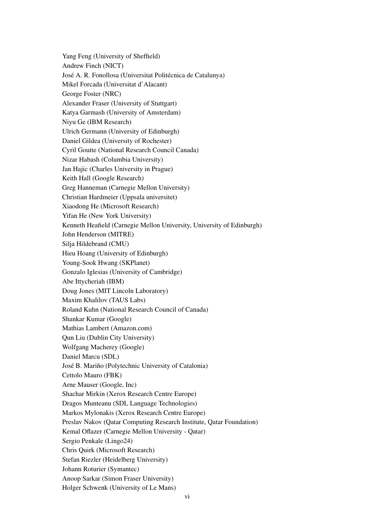Yang Feng (University of Sheffield) Andrew Finch (NICT) José A. R. Fonollosa (Universitat Politécnica de Catalunya) Mikel Forcada (Universitat d'Alacant) George Foster (NRC) Alexander Fraser (University of Stuttgart) Katya Garmash (University of Amsterdam) Niyu Ge (IBM Research) Ulrich Germann (University of Edinburgh) Daniel Gildea (University of Rochester) Cyril Goutte (National Research Council Canada) Nizar Habash (Columbia University) Jan Hajic (Charles University in Prague) Keith Hall (Google Research) Greg Hanneman (Carnegie Mellon University) Christian Hardmeier (Uppsala universitet) Xiaodong He (Microsoft Research) Yifan He (New York University) Kenneth Heafield (Carnegie Mellon University, University of Edinburgh) John Henderson (MITRE) Silja Hildebrand (CMU) Hieu Hoang (University of Edinburgh) Young-Sook Hwang (SKPlanet) Gonzalo Iglesias (University of Cambridge) Abe Ittycheriah (IBM) Doug Jones (MIT Lincoln Laboratory) Maxim Khalilov (TAUS Labs) Roland Kuhn (National Research Council of Canada) Shankar Kumar (Google) Mathias Lambert (Amazon.com) Qun Liu (Dublin City University) Wolfgang Macherey (Google) Daniel Marcu (SDL) José B. Mariño (Polytechnic University of Catalonia) Cettolo Mauro (FBK) Arne Mauser (Google, Inc) Shachar Mirkin (Xerox Research Centre Europe) Dragos Munteanu (SDL Language Technologies) Markos Mylonakis (Xerox Research Centre Europe) Preslav Nakov (Qatar Computing Research Institute, Qatar Foundation) Kemal Oflazer (Carnegie Mellon University - Qatar) Sergio Penkale (Lingo24) Chris Quirk (Microsoft Research) Stefan Riezler (Heidelberg University) Johann Roturier (Symantec) Anoop Sarkar (Simon Fraser University) Holger Schwenk (University of Le Mans)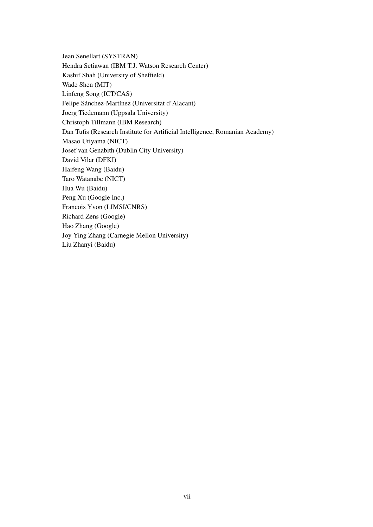Jean Senellart (SYSTRAN) Hendra Setiawan (IBM T.J. Watson Research Center) Kashif Shah (University of Sheffield) Wade Shen (MIT) Linfeng Song (ICT/CAS) Felipe Sánchez-Martínez (Universitat d'Alacant) Joerg Tiedemann (Uppsala University) Christoph Tillmann (IBM Research) Dan Tufis (Research Institute for Artificial Intelligence, Romanian Academy) Masao Utiyama (NICT) Josef van Genabith (Dublin City University) David Vilar (DFKI) Haifeng Wang (Baidu) Taro Watanabe (NICT) Hua Wu (Baidu) Peng Xu (Google Inc.) Francois Yvon (LIMSI/CNRS) Richard Zens (Google) Hao Zhang (Google) Joy Ying Zhang (Carnegie Mellon University) Liu Zhanyi (Baidu)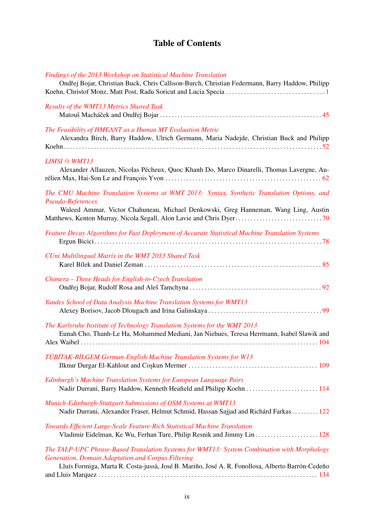# Table of Contents

|  |  |  | Findings of the 2013 Workshop on Statistical Machine Translation |
|--|--|--|------------------------------------------------------------------|
|  |  |  |                                                                  |

| Ondřej Bojar, Christian Buck, Chris Callison-Burch, Christian Federmann, Barry Haddow, Philipp                                                                                                                                                               |
|--------------------------------------------------------------------------------------------------------------------------------------------------------------------------------------------------------------------------------------------------------------|
| Results of the WMT13 Metrics Shared Task                                                                                                                                                                                                                     |
| The Feasibility of HMEANT as a Human MT Evaluation Metric<br>Alexandra Birch, Barry Haddow, Ulrich Germann, Maria Nadejde, Christian Buck and Philipp                                                                                                        |
| <b>LIMSI</b> @ WMT13<br>Alexander Allauzen, Nicolas Pécheux, Quoc Khanh Do, Marco Dinarelli, Thomas Lavergne, Au-                                                                                                                                            |
| The CMU Machine Translation Systems at WMT 2013: Syntax, Synthetic Translation Options, and<br>Pseudo-References<br>Waleed Ammar, Victor Chahuneau, Michael Denkowski, Greg Hanneman, Wang Ling, Austin                                                      |
| Feature Decay Algorithms for Fast Deployment of Accurate Statistical Machine Translation Systems                                                                                                                                                             |
| CUni Multilingual Matrix in the WMT 2013 Shared Task                                                                                                                                                                                                         |
| Chimera - Three Heads for English-to-Czech Translation                                                                                                                                                                                                       |
| Yandex School of Data Analysis Machine Translation Systems for WMT13                                                                                                                                                                                         |
| The Karlsruhe Institute of Technology Translation Systems for the WMT 2013<br>Eunah Cho, Thanh-Le Ha, Mohammed Mediani, Jan Niehues, Teresa Herrmann, Isabel Slawik and                                                                                      |
| TÜBİTAK-BİLGEM German-English Machine Translation Systems for W13                                                                                                                                                                                            |
| Edinburgh's Machine Translation Systems for European Language Pairs<br>Nadir Durrani, Barry Haddow, Kenneth Heafield and Philipp Koehn 114                                                                                                                   |
| Munich-Edinburgh-Stuttgart Submissions of OSM Systems at WMT13<br>Nadir Durrani, Alexander Fraser, Helmut Schmid, Hassan Sajjad and Richárd Farkas122                                                                                                        |
| Towards Efficient Large-Scale Feature-Rich Statistical Machine Translation                                                                                                                                                                                   |
| The TALP-UPC Phrase-Based Translation Systems for WMT13: System Combination with Morphology<br><b>Generation, Domain Adaptation and Corpus Filtering</b><br>Lluís Formiga, Marta R. Costa-jussà, José B. Mariño, José A. R. Fonollosa, Alberto Barrón-Cedeño |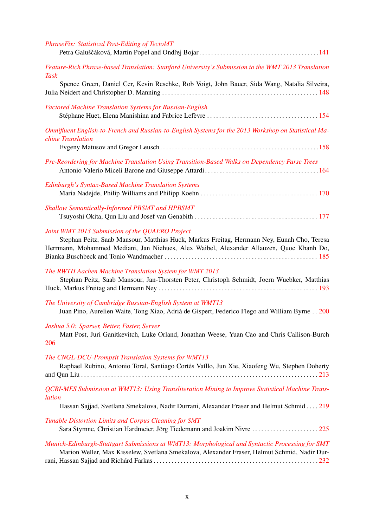| <b>PhraseFix: Statistical Post-Editing of TectoMT</b>                                                                                                                                                                                     |
|-------------------------------------------------------------------------------------------------------------------------------------------------------------------------------------------------------------------------------------------|
| Feature-Rich Phrase-based Translation: Stanford University's Submission to the WMT 2013 Translation<br><b>Task</b>                                                                                                                        |
| Spence Green, Daniel Cer, Kevin Reschke, Rob Voigt, John Bauer, Sida Wang, Natalia Silveira,                                                                                                                                              |
| <b>Factored Machine Translation Systems for Russian-English</b>                                                                                                                                                                           |
| Omnifluent English-to-French and Russian-to-English Systems for the 2013 Workshop on Statistical Ma-<br>chine Translation                                                                                                                 |
| Pre-Reordering for Machine Translation Using Transition-Based Walks on Dependency Parse Trees                                                                                                                                             |
| <b>Edinburgh's Syntax-Based Machine Translation Systems</b>                                                                                                                                                                               |
| Shallow Semantically-Informed PBSMT and HPBSMT                                                                                                                                                                                            |
| Joint WMT 2013 Submission of the QUAERO Project<br>Stephan Peitz, Saab Mansour, Matthias Huck, Markus Freitag, Hermann Ney, Eunah Cho, Teresa<br>Herrmann, Mohammed Mediani, Jan Niehues, Alex Waibel, Alexander Allauzen, Quoc Khanh Do, |
| The RWTH Aachen Machine Translation System for WMT 2013<br>Stephan Peitz, Saab Mansour, Jan-Thorsten Peter, Christoph Schmidt, Joern Wuebker, Matthias                                                                                    |
| The University of Cambridge Russian-English System at WMT13<br>Juan Pino, Aurelien Waite, Tong Xiao, Adrià de Gispert, Federico Flego and William Byrne 200                                                                               |
| Joshua 5.0: Sparser, Better, Faster, Server<br>Matt Post, Juri Ganitkevitch, Luke Orland, Jonathan Weese, Yuan Cao and Chris Callison-Burch<br>206                                                                                        |
| The CNGL-DCU-Prompsit Translation Systems for WMT13<br>Raphael Rubino, Antonio Toral, Santiago Cortés Vaíllo, Jun Xie, Xiaofeng Wu, Stephen Doherty                                                                                       |
| QCRI-MES Submission at WMT13: Using Transliteration Mining to Improve Statistical Machine Trans-<br>lation                                                                                                                                |
| Hassan Sajjad, Svetlana Smekalova, Nadir Durrani, Alexander Fraser and Helmut Schmid  . 219<br>Tunable Distortion Limits and Corpus Cleaning for SMT<br>Sara Stymne, Christian Hardmeier, Jörg Tiedemann and Joakim Nivre  225            |
| Munich-Edinburgh-Stuttgart Submissions at WMT13: Morphological and Syntactic Processing for SMT<br>Marion Weller, Max Kisselew, Svetlana Smekalova, Alexander Fraser, Helmut Schmid, Nadir Dur-                                           |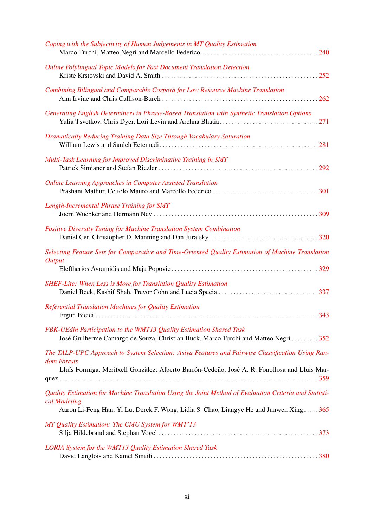| Coping with the Subjectivity of Human Judgements in MT Quality Estimation                                                                                                                                       |
|-----------------------------------------------------------------------------------------------------------------------------------------------------------------------------------------------------------------|
| <b>Online Polylingual Topic Models for Fast Document Translation Detection</b>                                                                                                                                  |
| Combining Bilingual and Comparable Corpora for Low Resource Machine Translation                                                                                                                                 |
| Generating English Determiners in Phrase-Based Translation with Synthetic Translation Options                                                                                                                   |
| Dramatically Reducing Training Data Size Through Vocabulary Saturation                                                                                                                                          |
| Multi-Task Learning for Improved Discriminative Training in SMT                                                                                                                                                 |
| <b>Online Learning Approaches in Computer Assisted Translation</b>                                                                                                                                              |
| Length-Incremental Phrase Training for SMT                                                                                                                                                                      |
| Positive Diversity Tuning for Machine Translation System Combination                                                                                                                                            |
| Selecting Feature Sets for Comparative and Time-Oriented Quality Estimation of Machine Translation<br><b>Output</b>                                                                                             |
| <b>SHEF-Lite: When Less is More for Translation Quality Estimation</b>                                                                                                                                          |
| Referential Translation Machines for Quality Estimation                                                                                                                                                         |
| FBK-UEdin Participation to the WMT13 Quality Estimation Shared Task<br>José Guilherme Camargo de Souza, Christian Buck, Marco Turchi and Matteo Negri 352                                                       |
| The TALP-UPC Approach to System Selection: Asiya Features and Pairwise Classification Using Ran-<br>dom Forests                                                                                                 |
| Lluís Formiga, Meritxell Gonzàlez, Alberto Barrón-Cedeño, José A. R. Fonollosa and Lluis Mar-                                                                                                                   |
| Quality Estimation for Machine Translation Using the Joint Method of Evaluation Criteria and Statisti-<br>cal Modeling<br>Aaron Li-Feng Han, Yi Lu, Derek F. Wong, Lidia S. Chao, Liangye He and Junwen Xing365 |
| MT Quality Estimation: The CMU System for WMT'13                                                                                                                                                                |
| <b>LORIA</b> System for the WMT13 Quality Estimation Shared Task                                                                                                                                                |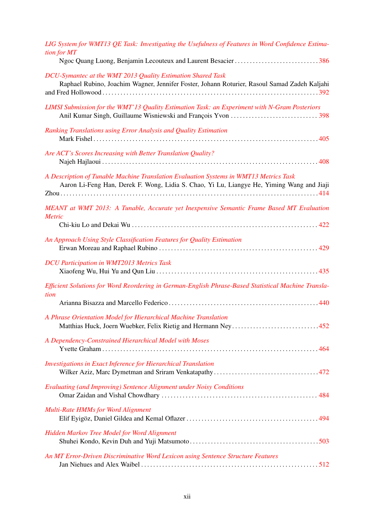| LIG System for WMT13 QE Task: Investigating the Usefulness of Features in Word Confidence Estima-<br>tion for MT<br>Ngoc Quang Luong, Benjamin Lecouteux and Laurent Besacier386   |
|------------------------------------------------------------------------------------------------------------------------------------------------------------------------------------|
| DCU-Symantec at the WMT 2013 Quality Estimation Shared Task<br>Raphael Rubino, Joachim Wagner, Jennifer Foster, Johann Roturier, Rasoul Samad Zadeh Kaljahi                        |
| LIMSI Submission for the WMT'13 Quality Estimation Task: an Experiment with N-Gram Posteriors                                                                                      |
| Ranking Translations using Error Analysis and Quality Estimation                                                                                                                   |
| Are ACT's Scores Increasing with Better Translation Quality?                                                                                                                       |
| A Description of Tunable Machine Translation Evaluation Systems in WMT13 Metrics Task<br>Aaron Li-Feng Han, Derek F. Wong, Lidia S. Chao, Yi Lu, Liangye He, Yiming Wang and Jiaji |
| MEANT at WMT 2013: A Tunable, Accurate yet Inexpensive Semantic Frame Based MT Evaluation<br><i>Metric</i>                                                                         |
| An Approach Using Style Classification Features for Quality Estimation                                                                                                             |
| <b>DCU Participation in WMT2013 Metrics Task</b>                                                                                                                                   |
| Efficient Solutions for Word Reordering in German-English Phrase-Based Statistical Machine Transla-<br>tion                                                                        |
| A Phrase Orientation Model for Hierarchical Machine Translation<br>Matthias Huck, Joern Wuebker, Felix Rietig and Hermann Ney452                                                   |
| A Dependency-Constrained Hierarchical Model with Moses                                                                                                                             |
| Investigations in Exact Inference for Hierarchical Translation                                                                                                                     |
| <b>Evaluating (and Improving) Sentence Alignment under Noisy Conditions</b>                                                                                                        |
| <b>Multi-Rate HMMs for Word Alignment</b>                                                                                                                                          |
| Hidden Markov Tree Model for Word Alignment                                                                                                                                        |
| An MT Error-Driven Discriminative Word Lexicon using Sentence Structure Features                                                                                                   |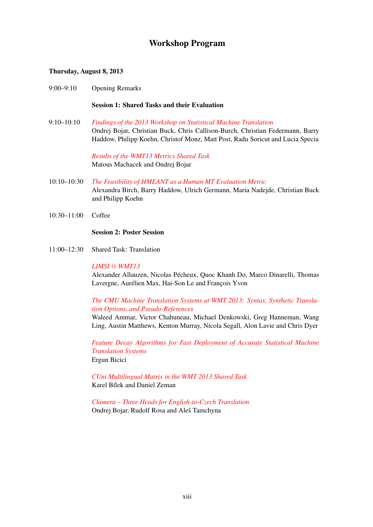### Workshop Program

#### Thursday, August 8, 2013

9:00–9:10 Opening Remarks

Session 1: Shared Tasks and their Evaluation

9:10–10:10 *[Findings of the 2013 Workshop on Statistical Machine Translation](#page-0-0)* Ondrej Bojar, Christian Buck, Chris Callison-Burch, Christian Federmann, Barry Haddow, Philipp Koehn, Christof Monz, Matt Post, Radu Soricut and Lucia Specia

> *[Results of the WMT13 Metrics Shared Task](#page-0-0)* Matous Machacek and Ondrej Bojar

- 10:10–10:30 *[The Feasibility of HMEANT as a Human MT Evaluation Metric](#page-0-0)* Alexandra Birch, Barry Haddow, Ulrich Germann, Maria Nadejde, Christian Buck and Philipp Koehn
- 10:30–11:00 Coffee

#### Session 2: Poster Session

11:00–12:30 Shared Task: Translation

#### *LIMSI* @ *[WMT13](#page-0-0)*

Alexander Allauzen, Nicolas Pécheux, Quoc Khanh Do, Marco Dinarelli, Thomas Lavergne, Aurélien Max, Hai-Son Le and François Yvon

#### *[The CMU Machine Translation Systems at WMT 2013: Syntax, Synthetic Transla](#page-0-0)[tion Options, and Pseudo-References](#page-0-0)*

Waleed Ammar, Victor Chahuneau, Michael Denkowski, Greg Hanneman, Wang Ling, Austin Matthews, Kenton Murray, Nicola Segall, Alon Lavie and Chris Dyer

*[Feature Decay Algorithms for Fast Deployment of Accurate Statistical Machine](#page-0-0) [Translation Systems](#page-0-0)* Ergun Bicici

*[CUni Multilingual Matrix in the WMT 2013 Shared Task](#page-0-0)* Karel Bílek and Daniel Zeman

*[Chimera – Three Heads for English-to-Czech Translation](#page-0-0)* Ondrej Bojar, Rudolf Rosa and Aleš Tamchyna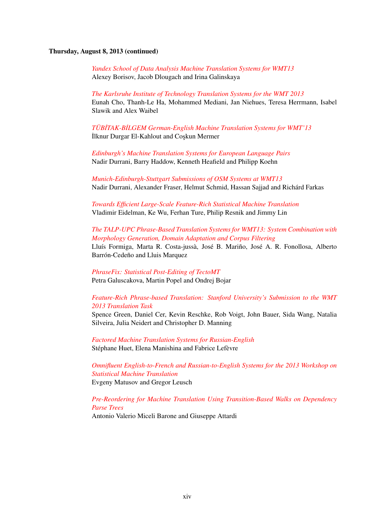#### Thursday, August 8, 2013 (continued)

*[Yandex School of Data Analysis Machine Translation Systems for WMT13](#page-0-0)* Alexey Borisov, Jacob Dlougach and Irina Galinskaya

*[The Karlsruhe Institute of Technology Translation Systems for the WMT 2013](#page-0-0)* Eunah Cho, Thanh-Le Ha, Mohammed Mediani, Jan Niehues, Teresa Herrmann, Isabel Slawik and Alex Waibel

*[TÜB˙ITAK-B˙ILGEM German-English Machine Translation Systems for WMT'13](#page-0-0)* İlknur Durgar El-Kahlout and Coşkun Mermer

*[Edinburgh's Machine Translation Systems for European Language Pairs](#page-0-0)* Nadir Durrani, Barry Haddow, Kenneth Heafield and Philipp Koehn

*[Munich-Edinburgh-Stuttgart Submissions of OSM Systems at WMT13](#page-0-0)* Nadir Durrani, Alexander Fraser, Helmut Schmid, Hassan Sajjad and Richárd Farkas

*[Towards Efficient Large-Scale Feature-Rich Statistical Machine Translation](#page-0-0)* Vladimir Eidelman, Ke Wu, Ferhan Ture, Philip Resnik and Jimmy Lin

*[The TALP-UPC Phrase-Based Translation Systems for WMT13: System Combination with](#page-0-0) [Morphology Generation, Domain Adaptation and Corpus Filtering](#page-0-0)* Lluís Formiga, Marta R. Costa-jussà, José B. Mariño, José A. R. Fonollosa, Alberto Barrón-Cedeño and Lluis Marquez

*[PhraseFix: Statistical Post-Editing of TectoMT](#page-0-0)* Petra Galuscakova, Martin Popel and Ondrej Bojar

#### *[Feature-Rich Phrase-based Translation: Stanford University's Submission to the WMT](#page-0-0) [2013 Translation Task](#page-0-0)*

Spence Green, Daniel Cer, Kevin Reschke, Rob Voigt, John Bauer, Sida Wang, Natalia Silveira, Julia Neidert and Christopher D. Manning

*[Factored Machine Translation Systems for Russian-English](#page-0-0)* Stéphane Huet, Elena Manishina and Fabrice Lefèvre

*[Omnifluent English-to-French and Russian-to-English Systems for the 2013 Workshop on](#page-0-0) [Statistical Machine Translation](#page-0-0)* Evgeny Matusov and Gregor Leusch

*[Pre-Reordering for Machine Translation Using Transition-Based Walks on Dependency](#page-0-0) [Parse Trees](#page-0-0)* Antonio Valerio Miceli Barone and Giuseppe Attardi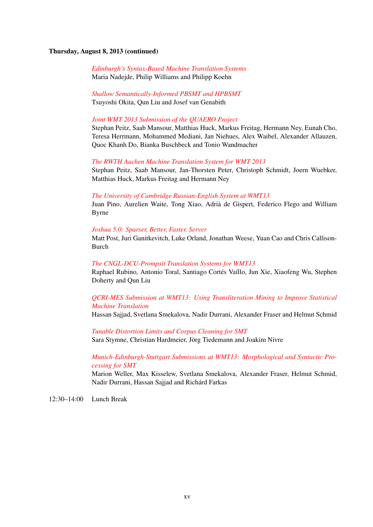#### Thursday, August 8, 2013 (continued)

*[Edinburgh's Syntax-Based Machine Translation Systems](#page-0-0)* Maria Nadejde, Philip Williams and Philipp Koehn

*[Shallow Semantically-Informed PBSMT and HPBSMT](#page-0-0)* Tsuyoshi Okita, Qun Liu and Josef van Genabith

#### *[Joint WMT 2013 Submission of the QUAERO Project](#page-0-0)*

Stephan Peitz, Saab Mansour, Matthias Huck, Markus Freitag, Hermann Ney, Eunah Cho, Teresa Herrmann, Mohammed Mediani, Jan Niehues, Alex Waibel, Alexander Allauzen, Quoc Khanh Do, Bianka Buschbeck and Tonio Wandmacher

#### *[The RWTH Aachen Machine Translation System for WMT 2013](#page-0-0)*

Stephan Peitz, Saab Mansour, Jan-Thorsten Peter, Christoph Schmidt, Joern Wuebker, Matthias Huck, Markus Freitag and Hermann Ney

#### *[The University of Cambridge Russian-English System at WMT13](#page-0-0)*

Juan Pino, Aurelien Waite, Tong Xiao, Adrià de Gispert, Federico Flego and William Byrne

#### *[Joshua 5.0: Sparser, Better, Faster, Server](#page-0-0)*

Matt Post, Juri Ganitkevitch, Luke Orland, Jonathan Weese, Yuan Cao and Chris Callison-Burch

#### *[The CNGL-DCU-Prompsit Translation Systems for WMT13](#page-0-0)*

Raphael Rubino, Antonio Toral, Santiago Cortés Vaíllo, Jun Xie, Xiaofeng Wu, Stephen Doherty and Qun Liu

#### *[QCRI-MES Submission at WMT13: Using Transliteration Mining to Improve Statistical](#page-0-0) [Machine Translation](#page-0-0)*

Hassan Sajjad, Svetlana Smekalova, Nadir Durrani, Alexander Fraser and Helmut Schmid

*[Tunable Distortion Limits and Corpus Cleaning for SMT](#page-0-0)* Sara Stymne, Christian Hardmeier, Jörg Tiedemann and Joakim Nivre

#### *[Munich-Edinburgh-Stuttgart Submissions at WMT13: Morphological and Syntactic Pro](#page-0-0)[cessing for SMT](#page-0-0)*

Marion Weller, Max Kisselew, Svetlana Smekalova, Alexander Fraser, Helmut Schmid, Nadir Durrani, Hassan Sajjad and Richárd Farkas

12:30–14:00 Lunch Break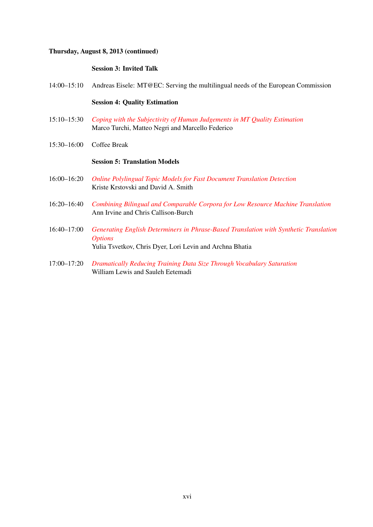#### Thursday, August 8, 2013 (continued)

#### Session 3: Invited Talk

14:00–15:10 Andreas Eisele: MT@EC: Serving the multilingual needs of the European Commission

#### Session 4: Quality Estimation

- 15:10–15:30 *[Coping with the Subjectivity of Human Judgements in MT Quality Estimation](#page-0-0)* Marco Turchi, Matteo Negri and Marcello Federico
- 15:30–16:00 Coffee Break

#### Session 5: Translation Models

- 16:00–16:20 *[Online Polylingual Topic Models for Fast Document Translation Detection](#page-0-0)* Kriste Krstovski and David A. Smith
- 16:20–16:40 *[Combining Bilingual and Comparable Corpora for Low Resource Machine Translation](#page-0-0)* Ann Irvine and Chris Callison-Burch
- 16:40–17:00 *[Generating English Determiners in Phrase-Based Translation with Synthetic Translation](#page-0-0) [Options](#page-0-0)* Yulia Tsvetkov, Chris Dyer, Lori Levin and Archna Bhatia

17:00–17:20 *[Dramatically Reducing Training Data Size Through Vocabulary Saturation](#page-0-0)* William Lewis and Sauleh Eetemadi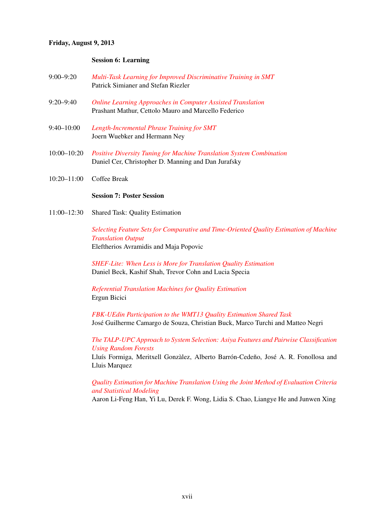#### Friday, August 9, 2013

#### Session 6: Learning

| $9:00 - 9:20$ | Multi-Task Learning for Improved Discriminative Training in SMT |
|---------------|-----------------------------------------------------------------|
|               | Patrick Simianer and Stefan Riezler                             |

- 9:20–9:40 *[Online Learning Approaches in Computer Assisted Translation](#page-0-0)* Prashant Mathur, Cettolo Mauro and Marcello Federico
- 9:40–10:00 *[Length-Incremental Phrase Training for SMT](#page-0-0)* Joern Wuebker and Hermann Ney
- 10:00–10:20 *[Positive Diversity Tuning for Machine Translation System Combination](#page-0-0)* Daniel Cer, Christopher D. Manning and Dan Jurafsky
- 10:20–11:00 Coffee Break

#### Session 7: Poster Session

11:00–12:30 Shared Task: Quality Estimation

*[Selecting Feature Sets for Comparative and Time-Oriented Quality Estimation of Machine](#page-0-0) [Translation Output](#page-0-0)* Eleftherios Avramidis and Maja Popovic

*[SHEF-Lite: When Less is More for Translation Quality Estimation](#page-0-0)* Daniel Beck, Kashif Shah, Trevor Cohn and Lucia Specia

*[Referential Translation Machines for Quality Estimation](#page-0-0)* Ergun Bicici

*[FBK-UEdin Participation to the WMT13 Quality Estimation Shared Task](#page-0-0)* José Guilherme Camargo de Souza, Christian Buck, Marco Turchi and Matteo Negri

*[The TALP-UPC Approach to System Selection: Asiya Features and Pairwise Classification](#page-0-0) [Using Random Forests](#page-0-0)*

Lluís Formiga, Meritxell Gonzàlez, Alberto Barrón-Cedeño, José A. R. Fonollosa and Lluis Marquez

*[Quality Estimation for Machine Translation Using the Joint Method of Evaluation Criteria](#page-0-0) [and Statistical Modeling](#page-0-0)*

Aaron Li-Feng Han, Yi Lu, Derek F. Wong, Lidia S. Chao, Liangye He and Junwen Xing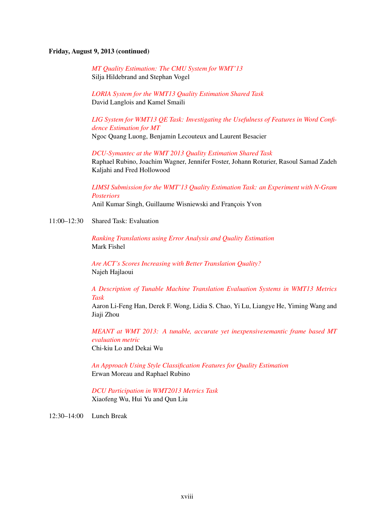#### Friday, August 9, 2013 (continued)

*[MT Quality Estimation: The CMU System for WMT'13](#page-0-0)* Silja Hildebrand and Stephan Vogel

*[LORIA System for the WMT13 Quality Estimation Shared Task](#page-0-0)* David Langlois and Kamel Smaili

*[LIG System for WMT13 QE Task: Investigating the Usefulness of Features in Word Confi](#page-0-0)[dence Estimation for MT](#page-0-0)* Ngoc Quang Luong, Benjamin Lecouteux and Laurent Besacier

*[DCU-Symantec at the WMT 2013 Quality Estimation Shared Task](#page-0-0)*

Raphael Rubino, Joachim Wagner, Jennifer Foster, Johann Roturier, Rasoul Samad Zadeh Kaljahi and Fred Hollowood

*[LIMSI Submission for the WMT'13 Quality Estimation Task: an Experiment with N-Gram](#page-0-0) [Posteriors](#page-0-0)* Anil Kumar Singh, Guillaume Wisniewski and François Yvon

11:00–12:30 Shared Task: Evaluation

*[Ranking Translations using Error Analysis and Quality Estimation](#page-0-0)* Mark Fishel

*[Are ACT's Scores Increasing with Better Translation Quality?](#page-0-0)* Najeh Hajlaoui

*[A Description of Tunable Machine Translation Evaluation Systems in WMT13 Metrics](#page-0-0) [Task](#page-0-0)*

Aaron Li-Feng Han, Derek F. Wong, Lidia S. Chao, Yi Lu, Liangye He, Yiming Wang and Jiaji Zhou

*[MEANT at WMT 2013: A tunable, accurate yet inexpensivesemantic frame based MT](#page-0-0) [evaluation metric](#page-0-0)* Chi-kiu Lo and Dekai Wu

*[An Approach Using Style Classification Features for Quality Estimation](#page-0-0)* Erwan Moreau and Raphael Rubino

*[DCU Participation in WMT2013 Metrics Task](#page-0-0)* Xiaofeng Wu, Hui Yu and Qun Liu

12:30–14:00 Lunch Break